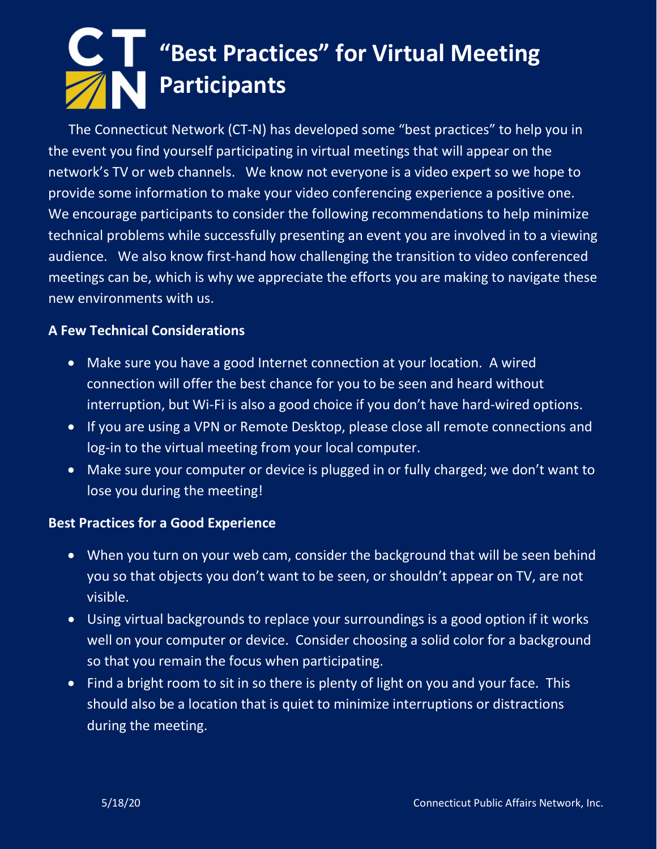### **"Best Practices" for Virtual Meeting Participants**

 The Connecticut Network (CT-N) has developed some "best practices" to help you in the event you find yourself participating in virtual meetings that will appear on the network's TV or web channels. We know not everyone is a video expert so we hope to provide some information to make your video conferencing experience a positive one. We encourage participants to consider the following recommendations to help minimize technical problems while successfully presenting an event you are involved in to a viewing audience. We also know first-hand how challenging the transition to video conferenced meetings can be, which is why we appreciate the efforts you are making to navigate these new environments with us.

#### **A Few Technical Considerations**

- Make sure you have a good Internet connection at your location. A wired connection will offer the best chance for you to be seen and heard without interruption, but Wi-Fi is also a good choice if you don't have hard-wired options.
- If you are using a VPN or Remote Desktop, please close all remote connections and log-in to the virtual meeting from your local computer.
- Make sure your computer or device is plugged in or fully charged; we don't want to lose you during the meeting!

### **Best Practices for a Good Experience**

- When you turn on your web cam, consider the background that will be seen behind you so that objects you don't want to be seen, or shouldn't appear on TV, are not visible.
- Using virtual backgrounds to replace your surroundings is a good option if it works well on your computer or device. Consider choosing a solid color for a background so that you remain the focus when participating.
- Find a bright room to sit in so there is plenty of light on you and your face. This should also be a location that is quiet to minimize interruptions or distractions during the meeting.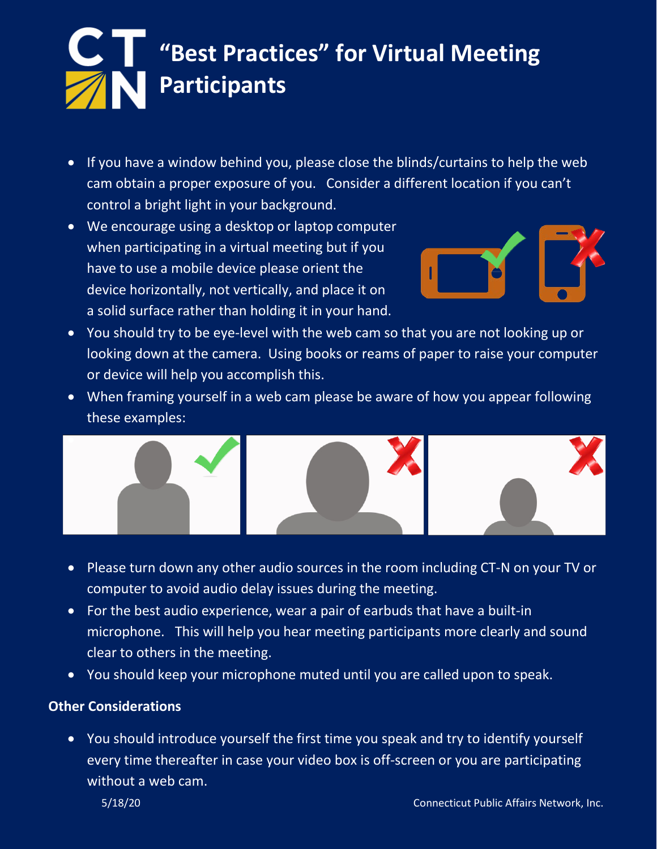# **"Best Practices" for Virtual Meeting Participants**

- If you have a window behind you, please close the blinds/curtains to help the web cam obtain a proper exposure of you. Consider a different location if you can't control a bright light in your background.
- We encourage using a desktop or laptop computer when participating in a virtual meeting but if you have to use a mobile device please orient the device horizontally, not vertically, and place it on a solid surface rather than holding it in your hand.



- You should try to be eye-level with the web cam so that you are not looking up or looking down at the camera. Using books or reams of paper to raise your computer or device will help you accomplish this.
- When framing yourself in a web cam please be aware of how you appear following these examples:



- Please turn down any other audio sources in the room including CT-N on your TV or computer to avoid audio delay issues during the meeting.
- For the best audio experience, wear a pair of earbuds that have a built-in microphone. This will help you hear meeting participants more clearly and sound clear to others in the meeting.
- You should keep your microphone muted until you are called upon to speak.

### **Other Considerations**

• You should introduce yourself the first time you speak and try to identify yourself every time thereafter in case your video box is off-screen or you are participating without a web cam.